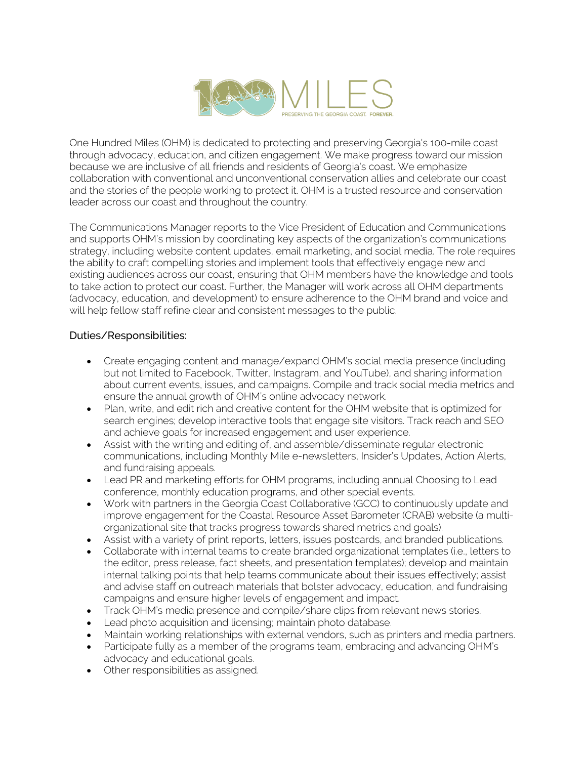

One Hundred Miles (OHM) is dedicated to protecting and preserving Georgia's 100-mile coast through advocacy, education, and citizen engagement. We make progress toward our mission because we are inclusive of all friends and residents of Georgia's coast. We emphasize collaboration with conventional and unconventional conservation allies and celebrate our coast and the stories of the people working to protect it. OHM is a trusted resource and conservation leader across our coast and throughout the country.

The Communications Manager reports to the Vice President of Education and Communications and supports OHM's mission by coordinating key aspects of the organization's communications strategy, including website content updates, email marketing, and social media. The role requires the ability to craft compelling stories and implement tools that effectively engage new and existing audiences across our coast, ensuring that OHM members have the knowledge and tools to take action to protect our coast. Further, the Manager will work across all OHM departments (advocacy, education, and development) to ensure adherence to the OHM brand and voice and will help fellow staff refine clear and consistent messages to the public.

## Duties/Responsibilities:

- Create engaging content and manage/expand OHM's social media presence (including but not limited to Facebook, Twitter, Instagram, and YouTube), and sharing information about current events, issues, and campaigns. Compile and track social media metrics and ensure the annual growth of OHM's online advocacy network.
- Plan, write, and edit rich and creative content for the OHM website that is optimized for search engines; develop interactive tools that engage site visitors. Track reach and SEO and achieve goals for increased engagement and user experience.
- Assist with the writing and editing of, and assemble/disseminate regular electronic communications, including Monthly Mile e-newsletters, Insider's Updates, Action Alerts, and fundraising appeals.
- Lead PR and marketing efforts for OHM programs, including annual Choosing to Lead conference, monthly education programs, and other special events.
- Work with partners in the Georgia Coast Collaborative (GCC) to continuously update and improve engagement for the Coastal Resource Asset Barometer (CRAB) website (a multiorganizational site that tracks progress towards shared metrics and goals).
- Assist with a variety of print reports, letters, issues postcards, and branded publications.
- Collaborate with internal teams to create branded organizational templates (i.e., letters to the editor, press release, fact sheets, and presentation templates); develop and maintain internal talking points that help teams communicate about their issues effectively; assist and advise staff on outreach materials that bolster advocacy, education, and fundraising campaigns and ensure higher levels of engagement and impact.
- Track OHM's media presence and compile/share clips from relevant news stories.
- Lead photo acquisition and licensing; maintain photo database.
- Maintain working relationships with external vendors, such as printers and media partners.
- Participate fully as a member of the programs team, embracing and advancing OHM's advocacy and educational goals.
- Other responsibilities as assigned.